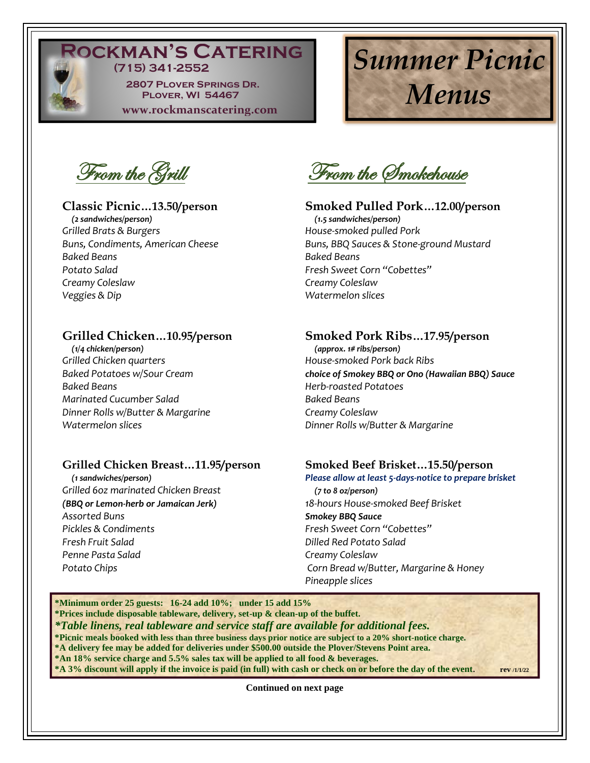

# **OCKMAN'S CATERING (715) 341-2552**

 **2807 Plover Springs Dr. Plover, WI 54467 www.rockmanscatering.com** 

# *Summer Picnic Menus*

From the Grill

 *(2 sandwiches/person) (1.5 sandwiches/person) Grilled Brats & Burgers House-smoked pulled Pork Baked Beans Baked Beans Potato Salad Fresh Sweet Corn "Cobettes" Creamy Coleslaw Creamy Coleslaw Veggies & Dip Watermelon slices*

 *(1/4 chicken/person) (approx. 1# ribs/person) Grilled Chicken quarters House-smoked Pork back Ribs Baked Beans Herb-roasted Potatoes Marinated Cucumber Salad Baked Beans Dinner Rolls w/Butter & Margarine Creamy Coleslaw*

# **Grilled Chicken Breast…11.95/person Smoked Beef Brisket…15.50/person**

*Grilled 6oz marinated Chicken Breast (7 to 8 oz/person) Assorted Buns Smokey BBQ Sauce Pickles & Condiments Fresh Sweet Corn "Cobettes" Fresh Fruit Salad Dilled Red Potato Salad Penne Pasta Salad Creamy Coleslaw*

From the Smokehouse

# **Classic Picnic…13.50/person Smoked Pulled Pork…12.00/person**

**Buns, BBQ Sauces & Stone-ground Mustard** 

# **Grilled Chicken…10.95/person Smoked Pork Ribs…17.95/person**

*Baked Potatoes w/Sour Cream choice of Smokey BBQ or Ono (Hawaiian BBQ) Sauce Watermelon slices Dinner Rolls w/Butter & Margarine*

 *(1 sandwiches/person) Please allow at least 5-days-notice to prepare brisket (BBQ or Lemon-herb or Jamaican Jerk) 18-hours House-smoked Beef Brisket Potato Chips Corn Bread w/Butter, Margarine & Honey Pineapple slices*

**\*Minimum order 25 guests: 16-24 add 10%; under 15 add 15% \*Prices include disposable tableware, delivery, set-up & clean-up of the buffet.** *\*Table linens, real tableware and service staff are available for additional fees.*  **\*Picnic meals booked with less than three business days prior notice are subject to a 20% short-notice charge. \*A delivery fee may be added for deliveries under \$500.00 outside the Plover/Stevens Point area. \*An 18% service charge and 5.5% sales tax will be applied to all food & beverages. \*A 3% discount will apply if the invoice is paid (in full) with cash or check on or before the day of the event. rev /1/1/22**

**Continued on next page**